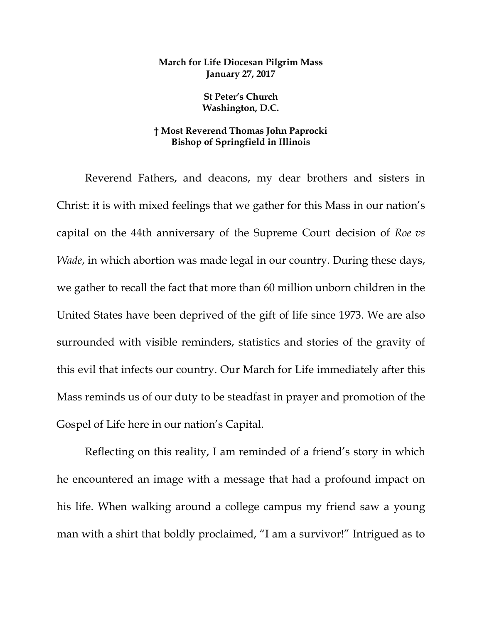## **March for Life Diocesan Pilgrim Mass January 27, 2017**

**St Peter's Church Washington, D.C.**

## **† Most Reverend Thomas John Paprocki Bishop of Springfield in Illinois**

Reverend Fathers, and deacons, my dear brothers and sisters in Christ: it is with mixed feelings that we gather for this Mass in our nation's capital on the 44th anniversary of the Supreme Court decision of *Roe vs Wade*, in which abortion was made legal in our country. During these days, we gather to recall the fact that more than 60 million unborn children in the United States have been deprived of the gift of life since 1973. We are also surrounded with visible reminders, statistics and stories of the gravity of this evil that infects our country. Our March for Life immediately after this Mass reminds us of our duty to be steadfast in prayer and promotion of the Gospel of Life here in our nation's Capital.

Reflecting on this reality, I am reminded of a friend's story in which he encountered an image with a message that had a profound impact on his life. When walking around a college campus my friend saw a young man with a shirt that boldly proclaimed, "I am a survivor!" Intrigued as to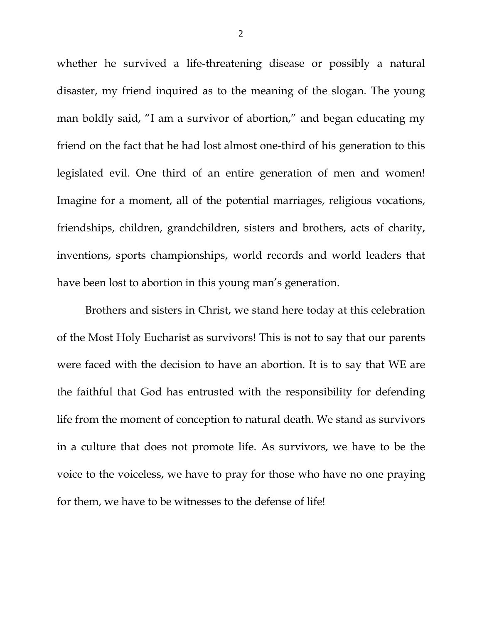whether he survived a life-threatening disease or possibly a natural disaster, my friend inquired as to the meaning of the slogan. The young man boldly said, "I am a survivor of abortion," and began educating my friend on the fact that he had lost almost one-third of his generation to this legislated evil. One third of an entire generation of men and women! Imagine for a moment, all of the potential marriages, religious vocations, friendships, children, grandchildren, sisters and brothers, acts of charity, inventions, sports championships, world records and world leaders that have been lost to abortion in this young man's generation.

Brothers and sisters in Christ, we stand here today at this celebration of the Most Holy Eucharist as survivors! This is not to say that our parents were faced with the decision to have an abortion. It is to say that WE are the faithful that God has entrusted with the responsibility for defending life from the moment of conception to natural death. We stand as survivors in a culture that does not promote life. As survivors, we have to be the voice to the voiceless, we have to pray for those who have no one praying for them, we have to be witnesses to the defense of life!

2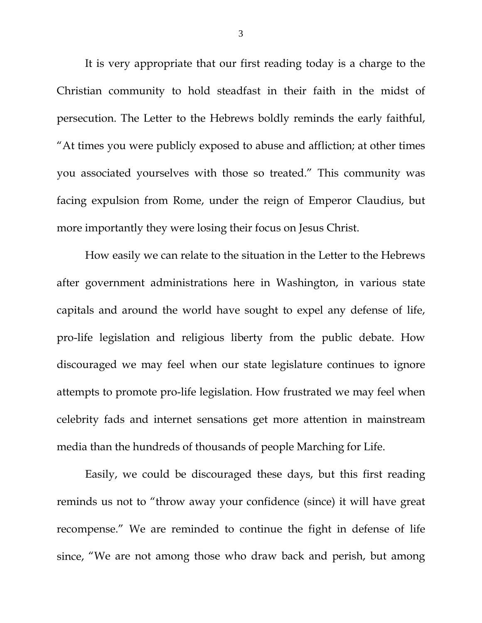It is very appropriate that our first reading today is a charge to the Christian community to hold steadfast in their faith in the midst of persecution. The Letter to the Hebrews boldly reminds the early faithful, "At times you were publicly exposed to abuse and affliction; at other times you associated yourselves with those so treated." This community was facing expulsion from Rome, under the reign of Emperor Claudius, but more importantly they were losing their focus on Jesus Christ.

How easily we can relate to the situation in the Letter to the Hebrews after government administrations here in Washington, in various state capitals and around the world have sought to expel any defense of life, pro-life legislation and religious liberty from the public debate. How discouraged we may feel when our state legislature continues to ignore attempts to promote pro-life legislation. How frustrated we may feel when celebrity fads and internet sensations get more attention in mainstream media than the hundreds of thousands of people Marching for Life.

Easily, we could be discouraged these days, but this first reading reminds us not to "throw away your confidence (since) it will have great recompense." We are reminded to continue the fight in defense of life since, "We are not among those who draw back and perish, but among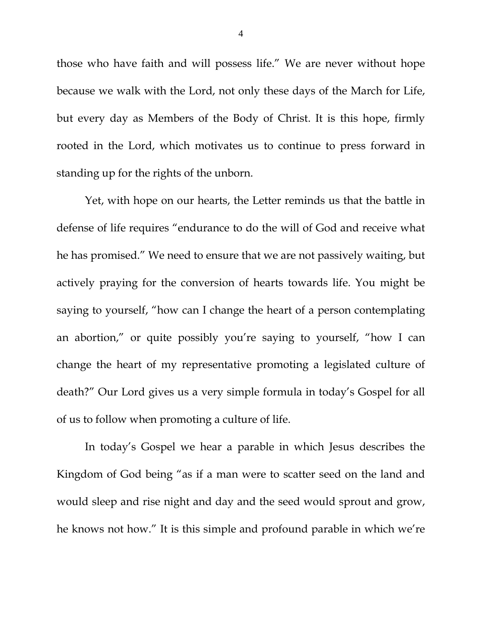those who have faith and will possess life." We are never without hope because we walk with the Lord, not only these days of the March for Life, but every day as Members of the Body of Christ. It is this hope, firmly rooted in the Lord, which motivates us to continue to press forward in standing up for the rights of the unborn.

Yet, with hope on our hearts, the Letter reminds us that the battle in defense of life requires "endurance to do the will of God and receive what he has promised." We need to ensure that we are not passively waiting, but actively praying for the conversion of hearts towards life. You might be saying to yourself, "how can I change the heart of a person contemplating an abortion," or quite possibly you're saying to yourself, "how I can change the heart of my representative promoting a legislated culture of death?" Our Lord gives us a very simple formula in today's Gospel for all of us to follow when promoting a culture of life.

In today's Gospel we hear a parable in which Jesus describes the Kingdom of God being "as if a man were to scatter seed on the land and would sleep and rise night and day and the seed would sprout and grow, he knows not how." It is this simple and profound parable in which we're

4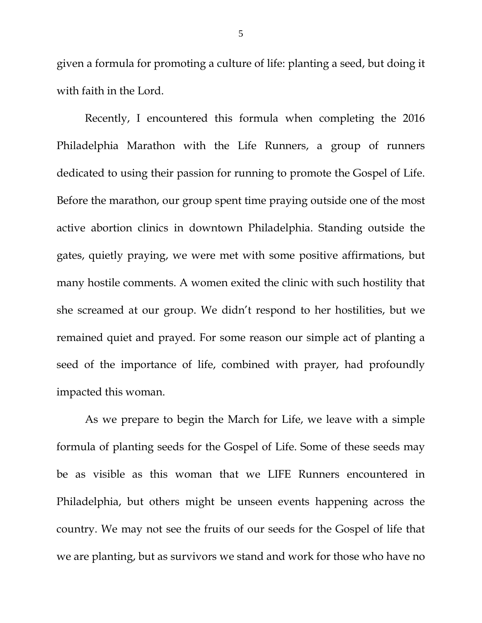given a formula for promoting a culture of life: planting a seed, but doing it with faith in the Lord.

Recently, I encountered this formula when completing the 2016 Philadelphia Marathon with the Life Runners, a group of runners dedicated to using their passion for running to promote the Gospel of Life. Before the marathon, our group spent time praying outside one of the most active abortion clinics in downtown Philadelphia. Standing outside the gates, quietly praying, we were met with some positive affirmations, but many hostile comments. A women exited the clinic with such hostility that she screamed at our group. We didn't respond to her hostilities, but we remained quiet and prayed. For some reason our simple act of planting a seed of the importance of life, combined with prayer, had profoundly impacted this woman.

As we prepare to begin the March for Life, we leave with a simple formula of planting seeds for the Gospel of Life. Some of these seeds may be as visible as this woman that we LIFE Runners encountered in Philadelphia, but others might be unseen events happening across the country. We may not see the fruits of our seeds for the Gospel of life that we are planting, but as survivors we stand and work for those who have no